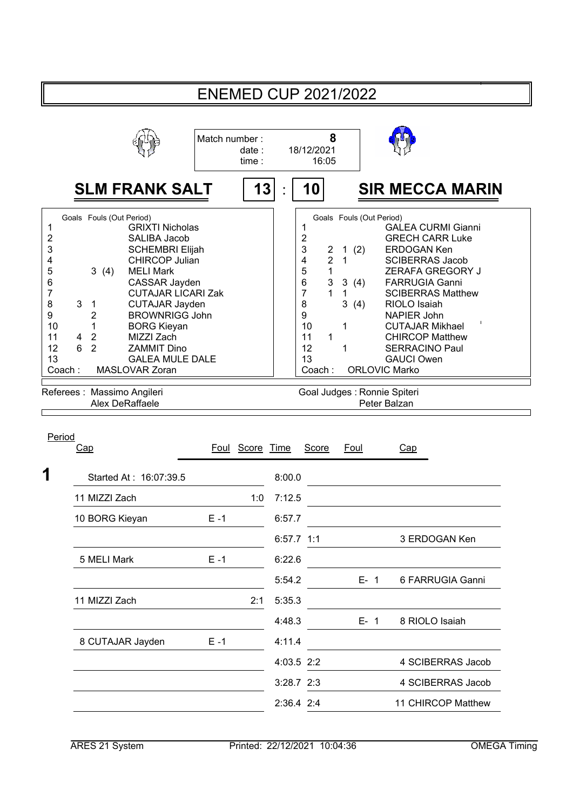|                                                                                                                                                                                                                                                                                                                                                                                                                                                                                                                                                                 |                                 | <b>ENEMED CUP 2021/2022</b>                                                                                                                                                                                                                                                                                                                                                                                                                                                                                                                                                                                                                              |
|-----------------------------------------------------------------------------------------------------------------------------------------------------------------------------------------------------------------------------------------------------------------------------------------------------------------------------------------------------------------------------------------------------------------------------------------------------------------------------------------------------------------------------------------------------------------|---------------------------------|----------------------------------------------------------------------------------------------------------------------------------------------------------------------------------------------------------------------------------------------------------------------------------------------------------------------------------------------------------------------------------------------------------------------------------------------------------------------------------------------------------------------------------------------------------------------------------------------------------------------------------------------------------|
|                                                                                                                                                                                                                                                                                                                                                                                                                                                                                                                                                                 | Match number:<br>date:<br>time: | 8<br>18/12/2021<br>16:05                                                                                                                                                                                                                                                                                                                                                                                                                                                                                                                                                                                                                                 |
| <b>SLM FRANK SALT</b>                                                                                                                                                                                                                                                                                                                                                                                                                                                                                                                                           | 13                              | <b>SIR MECCA MARIN</b><br>10                                                                                                                                                                                                                                                                                                                                                                                                                                                                                                                                                                                                                             |
| Goals Fouls (Out Period)<br>1<br><b>GRIXTI Nicholas</b><br>2<br>SALIBA Jacob<br>3<br><b>SCHEMBRI Elijah</b><br><b>CHIRCOP Julian</b><br>4<br>5<br><b>MELI Mark</b><br>3(4)<br>6<br>CASSAR Jayden<br>7<br><b>CUTAJAR LICARI Zak</b><br>8<br>3<br><b>CUTAJAR Jayden</b><br>$\mathbf{1}$<br>9<br>$\overline{2}$<br><b>BROWNRIGG John</b><br>10<br>1<br><b>BORG Kieyan</b><br>11<br>$\overline{2}$<br>MIZZI Zach<br>4<br>6<br>12<br>$\overline{2}$<br><b>ZAMMIT Dino</b><br>13<br><b>GALEA MULE DALE</b><br>Coach:<br>MASLOVAR Zoran<br>Referees : Massimo Angileri |                                 | Goals Fouls (Out Period)<br>1<br><b>GALEA CURMI Gianni</b><br>2<br><b>GRECH CARR Luke</b><br>3<br>1(2)<br><b>ERDOGAN Ken</b><br>2<br>$\overline{\mathbf{4}}$<br>$\overline{2}$<br>$\mathbf{1}$<br><b>SCIBERRAS Jacob</b><br>5<br>1<br>ZERAFA GREGORY J<br>6<br>$\ensuremath{\mathsf{3}}$<br>3(4)<br><b>FARRUGIA Ganni</b><br>$\overline{7}$<br>1<br>$\mathbf{1}$<br><b>SCIBERRAS Matthew</b><br>8<br>3(4)<br>RIOLO Isaiah<br>9<br>NAPIER John<br>10<br>1<br><b>CUTAJAR Mikhael</b><br>11<br>1<br><b>CHIRCOP Matthew</b><br>12<br>1<br><b>SERRACINO Paul</b><br>13<br><b>GAUCI Owen</b><br><b>ORLOVIC Marko</b><br>Coach:<br>Goal Judges : Ronnie Spiteri |
| Alex DeRaffaele                                                                                                                                                                                                                                                                                                                                                                                                                                                                                                                                                 |                                 | Peter Balzan                                                                                                                                                                                                                                                                                                                                                                                                                                                                                                                                                                                                                                             |
| Period<br>Cap<br>1<br>Started At: 16:07:39.5                                                                                                                                                                                                                                                                                                                                                                                                                                                                                                                    | Foul Score Time                 | <b>Score</b><br>Foul<br>Cap<br>8:00.0                                                                                                                                                                                                                                                                                                                                                                                                                                                                                                                                                                                                                    |
| 11 MIZZI Zach                                                                                                                                                                                                                                                                                                                                                                                                                                                                                                                                                   | 1:0                             | 7:12.5                                                                                                                                                                                                                                                                                                                                                                                                                                                                                                                                                                                                                                                   |
| $E - 1$<br>10 BORG Kieyan                                                                                                                                                                                                                                                                                                                                                                                                                                                                                                                                       |                                 | 6:57.7                                                                                                                                                                                                                                                                                                                                                                                                                                                                                                                                                                                                                                                   |
|                                                                                                                                                                                                                                                                                                                                                                                                                                                                                                                                                                 |                                 | 6:57.7 1:1<br>3 ERDOGAN Ken                                                                                                                                                                                                                                                                                                                                                                                                                                                                                                                                                                                                                              |
| 5 MELI Mark<br>$E - 1$                                                                                                                                                                                                                                                                                                                                                                                                                                                                                                                                          |                                 | 6:22.6                                                                                                                                                                                                                                                                                                                                                                                                                                                                                                                                                                                                                                                   |
|                                                                                                                                                                                                                                                                                                                                                                                                                                                                                                                                                                 |                                 | 5:54.2<br>$E-1$<br>6 FARRUGIA Ganni                                                                                                                                                                                                                                                                                                                                                                                                                                                                                                                                                                                                                      |
| 11 MIZZI Zach                                                                                                                                                                                                                                                                                                                                                                                                                                                                                                                                                   | 2:1                             | 5:35.3                                                                                                                                                                                                                                                                                                                                                                                                                                                                                                                                                                                                                                                   |
|                                                                                                                                                                                                                                                                                                                                                                                                                                                                                                                                                                 |                                 | 8 RIOLO Isaiah<br>4:48.3<br>$E-1$                                                                                                                                                                                                                                                                                                                                                                                                                                                                                                                                                                                                                        |
| 8 CUTAJAR Jayden<br>$E - 1$                                                                                                                                                                                                                                                                                                                                                                                                                                                                                                                                     |                                 | 4:11.4                                                                                                                                                                                                                                                                                                                                                                                                                                                                                                                                                                                                                                                   |
|                                                                                                                                                                                                                                                                                                                                                                                                                                                                                                                                                                 |                                 | 4:03.5 2:2<br>4 SCIBERRAS Jacob                                                                                                                                                                                                                                                                                                                                                                                                                                                                                                                                                                                                                          |
|                                                                                                                                                                                                                                                                                                                                                                                                                                                                                                                                                                 |                                 | 4 SCIBERRAS Jacob<br>3:28.7 2:3                                                                                                                                                                                                                                                                                                                                                                                                                                                                                                                                                                                                                          |
|                                                                                                                                                                                                                                                                                                                                                                                                                                                                                                                                                                 |                                 | 2:36.4 2:4<br>11 CHIRCOP Matthew                                                                                                                                                                                                                                                                                                                                                                                                                                                                                                                                                                                                                         |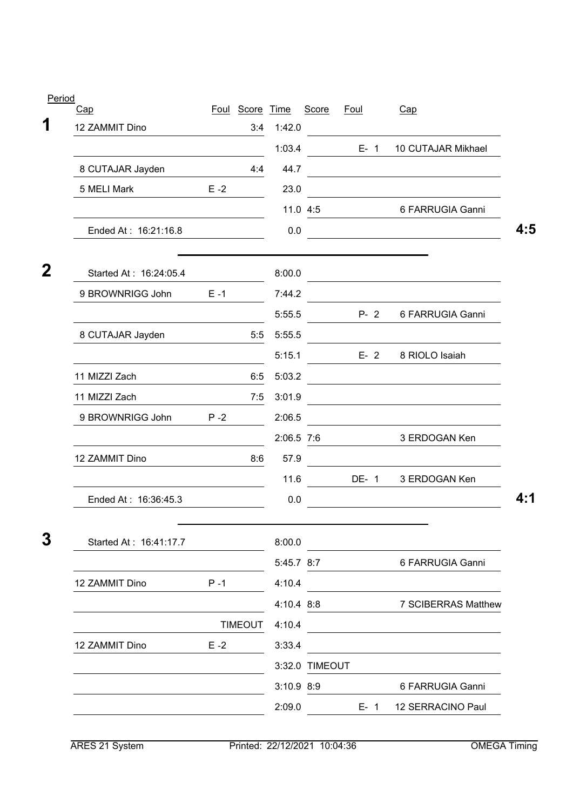| Period      |                        |         |                 |              |                |             |         |                                                                                                                      |     |
|-------------|------------------------|---------|-----------------|--------------|----------------|-------------|---------|----------------------------------------------------------------------------------------------------------------------|-----|
| 1           | Cap                    |         | Foul Score Time |              | Score          | <b>Foul</b> |         | Cap                                                                                                                  |     |
|             | 12 ZAMMIT Dino         |         | 3:4             | 1:42.0       |                |             |         |                                                                                                                      |     |
|             |                        |         |                 | 1:03.4       |                |             | $E - 1$ | 10 CUTAJAR Mikhael                                                                                                   |     |
|             | 8 CUTAJAR Jayden       |         | 4:4             | 44.7         |                |             |         |                                                                                                                      |     |
|             | 5 MELI Mark            | $E - 2$ |                 | 23.0         |                |             |         |                                                                                                                      |     |
|             |                        |         |                 |              | 11.0 4:5       |             |         | 6 FARRUGIA Ganni                                                                                                     |     |
|             | Ended At: 16:21:16.8   |         |                 | 0.0          |                |             |         | <u> 1990 - Johann Barbara, martin d</u>                                                                              | 4:5 |
| $\mathbf 2$ | Started At: 16:24:05.4 |         |                 | 8:00.0       |                |             |         | <u> 1980 - Johann Barn, mars an t-Amerikaansk politiker (</u>                                                        |     |
|             | 9 BROWNRIGG John       | $E - 1$ |                 | 7:44.2       |                |             |         |                                                                                                                      |     |
|             |                        |         |                 | 5:55.5       |                |             | $P - 2$ | 6 FARRUGIA Ganni                                                                                                     |     |
|             | 8 CUTAJAR Jayden       |         | 5:5             | 5:55.5       |                |             |         |                                                                                                                      |     |
|             |                        |         |                 | 5:15.1       |                |             | $E - 2$ | 8 RIOLO Isaiah                                                                                                       |     |
|             | 11 MIZZI Zach          |         | 6:5             | 5:03.2       |                |             |         |                                                                                                                      |     |
|             | 11 MIZZI Zach          |         | 7:5             | 3:01.9       |                |             |         | <u> 1989 - Johann Barbara, marka a shekara tsa 1989 - An tsa 1989 - An tsa 1989 - An tsa 1989 - An tsa 1989 - An</u> |     |
|             | 9 BROWNRIGG John       | $P - 2$ |                 | 2:06.5       |                |             |         |                                                                                                                      |     |
|             |                        |         |                 | 2:06.5 7:6   |                |             |         | 3 ERDOGAN Ken                                                                                                        |     |
|             | 12 ZAMMIT Dino         |         | 8:6             | 57.9         |                |             |         |                                                                                                                      |     |
|             |                        |         |                 | 11.6         |                |             | DE-1    | 3 ERDOGAN Ken                                                                                                        |     |
|             | Ended At: 16:36:45.3   |         |                 | 0.0          |                |             |         |                                                                                                                      | 4:1 |
|             |                        |         |                 |              |                |             |         |                                                                                                                      |     |
| 3           | Started At: 16:41:17.7 |         |                 | 8:00.0       |                |             |         |                                                                                                                      |     |
|             |                        |         |                 | 5:45.7 8:7   |                |             |         | 6 FARRUGIA Ganni                                                                                                     |     |
|             | 12 ZAMMIT Dino         | $P - 1$ |                 | 4:10.4       |                |             |         |                                                                                                                      |     |
|             |                        |         |                 | 4:10.4 8:8   |                |             |         | 7 SCIBERRAS Matthew                                                                                                  |     |
|             |                        |         | <b>TIMEOUT</b>  | 4:10.4       |                |             |         |                                                                                                                      |     |
|             | 12 ZAMMIT Dino         | $E - 2$ |                 | 3:33.4       |                |             |         |                                                                                                                      |     |
|             |                        |         |                 |              | 3:32.0 TIMEOUT |             |         |                                                                                                                      |     |
|             |                        |         |                 | $3:10.9$ 8:9 |                |             |         | 6 FARRUGIA Ganni                                                                                                     |     |
|             |                        |         |                 | 2:09.0       |                |             |         | E- 1 12 SERRACINO Paul                                                                                               |     |
|             |                        |         |                 |              |                |             |         |                                                                                                                      |     |